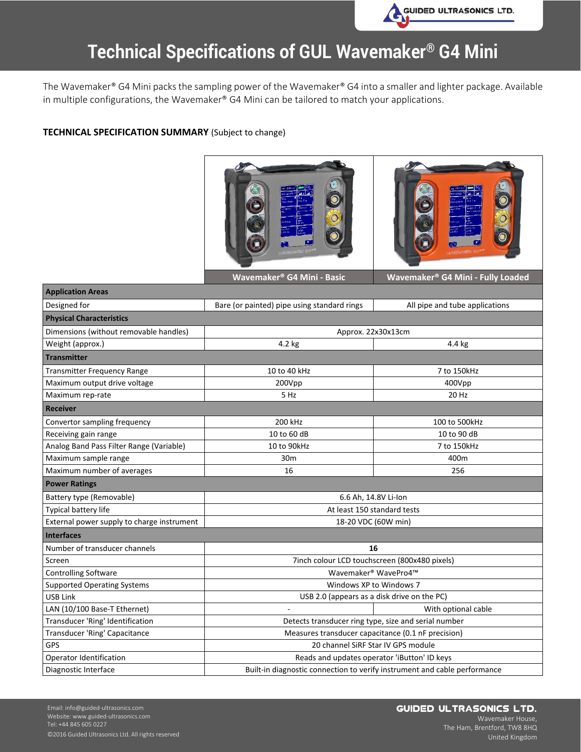

### **Technical Specifications of GUL Wavemaker® G4 Mini**

The Wavemaker® G4 Mini packs the sampling power of the Wavemaker® G4 into a smaller and lighter package. Available in multiple configurations, the Wavemaker® G4 Mini can be tailored to match your applications.

#### **TECHNICAL SPECIFICATION SUMMARY** (Subject to change)



| <b>Application Areas</b>                   |                                                                           |                                |
|--------------------------------------------|---------------------------------------------------------------------------|--------------------------------|
| Designed for                               | Bare (or painted) pipe using standard rings                               | All pipe and tube applications |
| <b>Physical Characteristics</b>            |                                                                           |                                |
| Dimensions (without removable handles)     | Approx. 22x30x13cm                                                        |                                |
| Weight (approx.)                           | 4.2 kg                                                                    | 4.4 kg                         |
| <b>Transmitter</b>                         |                                                                           |                                |
| <b>Transmitter Frequency Range</b>         | 10 to 40 kHz                                                              | 7 to 150kHz                    |
| Maximum output drive voltage               | 200Vpp                                                                    | 400Vpp                         |
| Maximum rep-rate                           | 5 Hz                                                                      | 20 Hz                          |
| <b>Receiver</b>                            |                                                                           |                                |
| Convertor sampling frequency               | 200 kHz                                                                   | 100 to 500kHz                  |
| Receiving gain range                       | 10 to 60 dB                                                               | 10 to 90 dB                    |
| Analog Band Pass Filter Range (Variable)   | 10 to 90kHz                                                               | 7 to 150kHz                    |
| Maximum sample range                       | 30m                                                                       | 400m                           |
| Maximum number of averages                 | 16                                                                        | 256                            |
| <b>Power Ratings</b>                       |                                                                           |                                |
| Battery type (Removable)                   | 6.6 Ah, 14.8V Li-Ion                                                      |                                |
| Typical battery life                       | At least 150 standard tests                                               |                                |
| External power supply to charge instrument | 18-20 VDC (60W min)                                                       |                                |
| <b>Interfaces</b>                          |                                                                           |                                |
| Number of transducer channels              | 16                                                                        |                                |
| Screen                                     | 7inch colour LCD touchscreen (800x480 pixels)                             |                                |
| <b>Controlling Software</b>                | Wavemaker <sup>®</sup> WavePro4™                                          |                                |
| <b>Supported Operating Systems</b>         | Windows XP to Windows 7                                                   |                                |
| <b>USB Link</b>                            | USB 2.0 (appears as a disk drive on the PC)                               |                                |
| LAN (10/100 Base-T Ethernet)               | $\mathbf{r}$                                                              | With optional cable            |
| Transducer 'Ring' Identification           | Detects transducer ring type, size and serial number                      |                                |
| Transducer 'Ring' Capacitance              | Measures transducer capacitance (0.1 nF precision)                        |                                |
| <b>GPS</b>                                 | 20 channel SiRF Star IV GPS module                                        |                                |
| Operator Identification                    | Reads and updates operator 'iButton' ID keys                              |                                |
| Diagnostic Interface                       | Built-in diagnostic connection to verify instrument and cable performance |                                |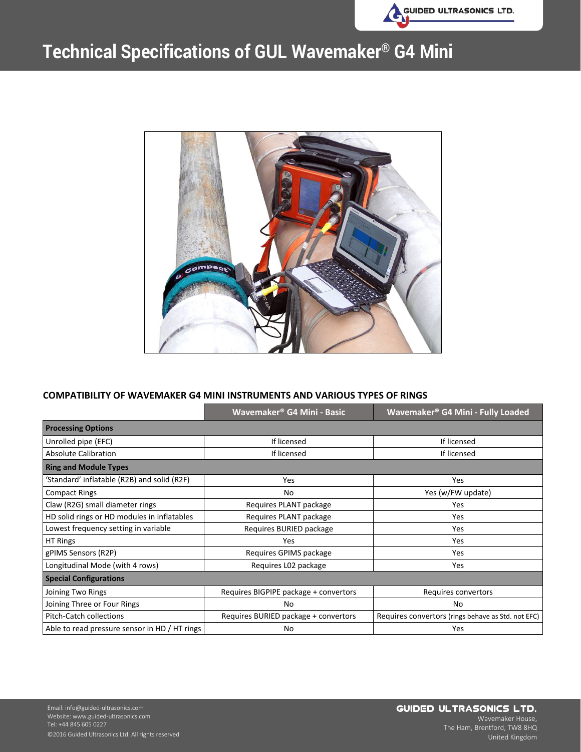

# **Technical Specifications of GUL Wavemaker® G4 Mini**



#### **COMPATIBILITY OF WAVEMAKER G4 MINI INSTRUMENTS AND VARIOUS TYPES OF RINGS**

|                                               | Wavemaker <sup>®</sup> G4 Mini - Basic | Wavemaker® G4 Mini - Fully Loaded                  |
|-----------------------------------------------|----------------------------------------|----------------------------------------------------|
| <b>Processing Options</b>                     |                                        |                                                    |
| Unrolled pipe (EFC)                           | If licensed                            | If licensed                                        |
| <b>Absolute Calibration</b>                   | If licensed                            | If licensed                                        |
| <b>Ring and Module Types</b>                  |                                        |                                                    |
| 'Standard' inflatable (R2B) and solid (R2F)   | Yes                                    | Yes                                                |
| <b>Compact Rings</b>                          | No                                     | Yes (w/FW update)                                  |
| Claw (R2G) small diameter rings               | Requires PLANT package                 | <b>Yes</b>                                         |
| HD solid rings or HD modules in inflatables   | Requires PLANT package                 | Yes.                                               |
| Lowest frequency setting in variable          | Requires BURIED package                | Yes.                                               |
| HT Rings                                      | Yes                                    | <b>Yes</b>                                         |
| gPIMS Sensors (R2P)                           | Requires GPIMS package                 | <b>Yes</b>                                         |
| Longitudinal Mode (with 4 rows)               | Requires L02 package                   | <b>Yes</b>                                         |
| <b>Special Configurations</b>                 |                                        |                                                    |
| Joining Two Rings                             | Requires BIGPIPE package + convertors  | Requires convertors                                |
| Joining Three or Four Rings                   | No                                     | No                                                 |
| <b>Pitch-Catch collections</b>                | Requires BURIED package + convertors   | Requires convertors (rings behave as Std. not EFC) |
| Able to read pressure sensor in HD / HT rings | No                                     | Yes                                                |